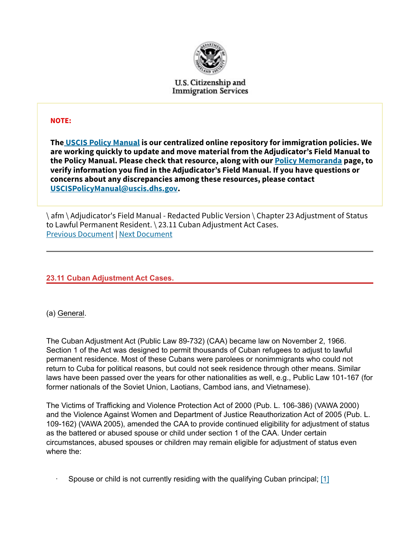

U.S. Citizenship and **Immigration Services** 

### NOTE:

The USCIS Policy Manual is our centralized online repository for immigration policies. We are working quickly to update and move material from the Adjudicator's Field Manual to the Policy Manual. Please check that resource, along with our Policy Memoranda page, to verify information you find in the Adjudicator's Field Manual. If you have questions or concerns about any discrepancies among these resources, please contact USCISPolicyManual@uscis.dhs.gov.

\ afm \ Adjudicator's Field Manual - Redacted Public Version \ Chapter 23 Adjustment of Status to Lawful Permanent Resident. \ 23.11 Cuban Adjustment Act Cases. Previous Document | Next Document

23.11 Cuban Adjustment Act Cases.

(a) General.

The Cuban Adjustment Act (Public Law 89-732) (CAA) became law on November 2, 1966. Section 1 of the Act was designed to permit thousands of Cuban refugees to adjust to lawful permanent residence. Most of these Cubans were parolees or nonimmigrants who could not return to Cuba for political reasons, but could not seek residence through other means. Similar laws have been passed over the years for other nationalities as well, e.g., Public Law 101-167 (for former nationals of the Soviet Union, Laotians, Cambod ians, and Vietnamese).

The Victims of Trafficking and Violence Protection Act of 2000 (Pub. L. 106-386) (VAWA 2000) and the Violence Against Women and Department of Justice Reauthorization Act of 2005 (Pub. L. 109-162) (VAWA 2005), amended the CAA to provide continued eligibility for adjustment of status as the battered or abused spouse or child under section 1 of the CAA. Under certain circumstances, abused spouses or children may remain eligible for adjustment of status even where the:

· Spouse or child is not currently residing with the qualifying Cuban principal; [1]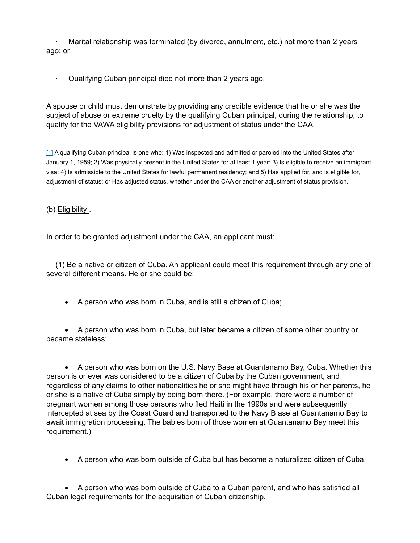Marital relationship was terminated (by divorce, annulment, etc.) not more than 2 years ago; or

· Qualifying Cuban principal died not more than 2 years ago.

A spouse or child must demonstrate by providing any credible evidence that he or she was the subject of abuse or extreme cruelty by the qualifying Cuban principal, during the relationship, to qualify for the VAWA eligibility provisions for adjustment of status under the CAA.

[1] A qualifying Cuban principal is one who: 1) Was inspected and admitted or paroled into the United States after January 1, 1959; 2) Was physically present in the United States for at least 1 year; 3) Is eligible to receive an immigrant visa; 4) Is admissible to the United States for lawful permanent residency; and 5) Has applied for, and is eligible for, adjustment of status; or Has adjusted status, whether under the CAA or another adjustment of status provision.

(b) Eligibility .

In order to be granted adjustment under the CAA, an applicant must:

(1) Be a native or citizen of Cuba. An applicant could meet this requirement through any one of several different means. He or she could be:

· A person who was born in Cuba, and is still a citizen of Cuba;

· A person who was born in Cuba, but later became a citizen of some other country or became stateless;

· A person who was born on the U.S. Navy Base at Guantanamo Bay, Cuba. Whether this person is or ever was considered to be a citizen of Cuba by the Cuban government, and regardless of any claims to other nationalities he or she might have through his or her parents, he or she is a native of Cuba simply by being born there. (For example, there were a number of pregnant women among those persons who fled Haiti in the 1990s and were subsequently intercepted at sea by the Coast Guard and transported to the Navy B ase at Guantanamo Bay to await immigration processing. The babies born of those women at Guantanamo Bay meet this requirement.)

· A person who was born outside of Cuba but has become a naturalized citizen of Cuba.

· A person who was born outside of Cuba to a Cuban parent, and who has satisfied all Cuban legal requirements for the acquisition of Cuban citizenship.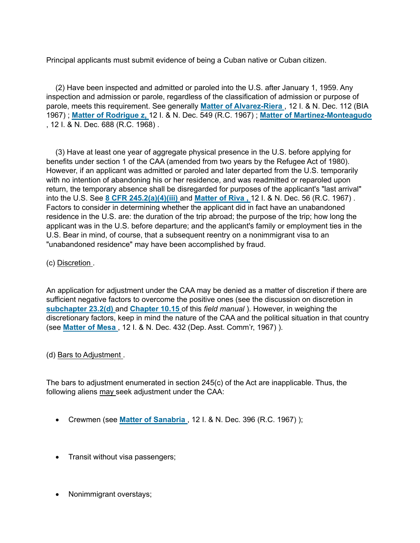Principal applicants must submit evidence of being a Cuban native or Cuban citizen.

(2) Have been inspected and admitted or paroled into the U.S. after January 1, 1959. Any inspection and admission or parole, regardless of the classification of admission or purpose of parole, meets this requirement. See generally Matter of Alvarez-Riera, 12 I. & N. Dec. 112 (BIA 1967) ; Matter of Rodrigue z, 12 I. & N. Dec. 549 (R.C. 1967) ; Matter of Martinez-Monteagudo , 12 I. & N. Dec. 688 (R.C. 1968) .

(3) Have at least one year of aggregate physical presence in the U.S. before applying for benefits under section 1 of the CAA (amended from two years by the Refugee Act of 1980). However, if an applicant was admitted or paroled and later departed from the U.S. temporarily with no intention of abandoning his or her residence, and was readmitted or reparoled upon return, the temporary absence shall be disregarded for purposes of the applicant's "last arrival" into the U.S. See 8 CFR 245.2(a)(4)(iii) and Matter of Riva, 12 I. & N. Dec. 56 (R.C. 1967). Factors to consider in determining whether the applicant did in fact have an unabandoned residence in the U.S. are: the duration of the trip abroad; the purpose of the trip; how long the applicant was in the U.S. before departure; and the applicant's family or employment ties in the U.S. Bear in mind, of course, that a subsequent reentry on a nonimmigrant visa to an "unabandoned residence" may have been accomplished by fraud.

(c) Discretion .

An application for adjustment under the CAA may be denied as a matter of discretion if there are sufficient negative factors to overcome the positive ones (see the discussion on discretion in subchapter 23.2(d) and Chapter 10.15 of this field manual). However, in weighing the discretionary factors, keep in mind the nature of the CAA and the political situation in that country (see Matter of Mesa , 12 I. & N. Dec. 432 (Dep. Asst. Comm'r, 1967) ).

#### (d) Bars to Adjustment .

The bars to adjustment enumerated in section 245(c) of the Act are inapplicable. Thus, the following aliens may seek adjustment under the CAA:

- Crewmen (see Matter of Sanabria, 12 I. & N. Dec. 396 (R.C. 1967));
- · Transit without visa passengers;
- · Nonimmigrant overstays;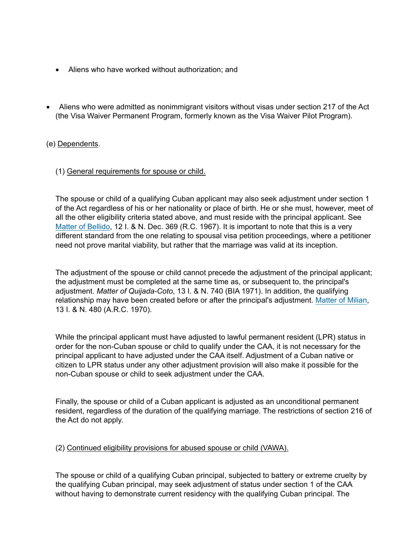- · Aliens who have worked without authorization; and
- · Aliens who were admitted as nonimmigrant visitors without visas under section 217 of the Act (the Visa Waiver Permanent Program, formerly known as the Visa Waiver Pilot Program).

## (e) Dependents.

#### (1) General requirements for spouse or child.

The spouse or child of a qualifying Cuban applicant may also seek adjustment under section 1 of the Act regardless of his or her nationality or place of birth. He or she must, however, meet of all the other eligibility criteria stated above, and must reside with the principal applicant. See Matter of Bellido, 12 I. & N. Dec. 369 (R.C. 1967). It is important to note that this is a very different standard from the one relating to spousal visa petition proceedings, where a petitioner need not prove marital viability, but rather that the marriage was valid at its inception.

The adjustment of the spouse or child cannot precede the adjustment of the principal applicant; the adjustment must be completed at the same time as, or subsequent to, the principal's adjustment. Matter of Quijada-Coto, 13 I. & N. 740 (BIA 1971). In addition, the qualifying relationship may have been created before or after the principal's adjustment. Matter of Milian, 13 I. & N. 480 (A.R.C. 1970).

While the principal applicant must have adjusted to lawful permanent resident (LPR) status in order for the non-Cuban spouse or child to qualify under the CAA, it is not necessary for the principal applicant to have adjusted under the CAA itself. Adjustment of a Cuban native or citizen to LPR status under any other adjustment provision will also make it possible for the non-Cuban spouse or child to seek adjustment under the CAA.

Finally, the spouse or child of a Cuban applicant is adjusted as an unconditional permanent resident, regardless of the duration of the qualifying marriage. The restrictions of section 216 of the Act do not apply.

(2) Continued eligibility provisions for abused spouse or child (VAWA).

The spouse or child of a qualifying Cuban principal, subjected to battery or extreme cruelty by the qualifying Cuban principal, may seek adjustment of status under section 1 of the CAA without having to demonstrate current residency with the qualifying Cuban principal. The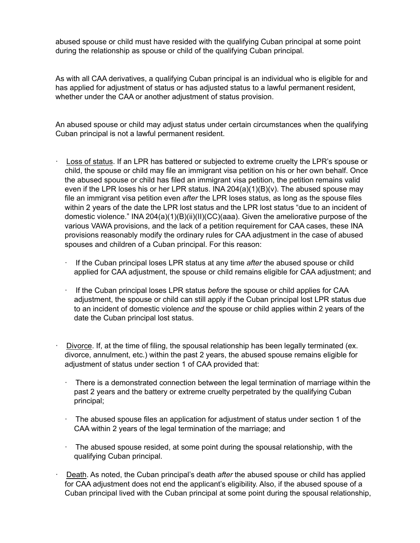abused spouse or child must have resided with the qualifying Cuban principal at some point during the relationship as spouse or child of the qualifying Cuban principal.

As with all CAA derivatives, a qualifying Cuban principal is an individual who is eligible for and has applied for adjustment of status or has adjusted status to a lawful permanent resident, whether under the CAA or another adjustment of status provision.

An abused spouse or child may adjust status under certain circumstances when the qualifying Cuban principal is not a lawful permanent resident.

- Loss of status. If an LPR has battered or subjected to extreme cruelty the LPR's spouse or child, the spouse or child may file an immigrant visa petition on his or her own behalf. Once the abused spouse or child has filed an immigrant visa petition, the petition remains valid even if the LPR loses his or her LPR status. INA  $204(a)(1)(B)(v)$ . The abused spouse may file an immigrant visa petition even after the LPR loses status, as long as the spouse files within 2 years of the date the LPR lost status and the LPR lost status "due to an incident of domestic violence." INA 204(a)(1)(B)(ii)(II)(CC)(aaa). Given the ameliorative purpose of the various VAWA provisions, and the lack of a petition requirement for CAA cases, these INA provisions reasonably modify the ordinary rules for CAA adjustment in the case of abused spouses and children of a Cuban principal. For this reason:
	- If the Cuban principal loses LPR status at any time after the abused spouse or child applied for CAA adjustment, the spouse or child remains eligible for CAA adjustment; and
	- $\cdot$  If the Cuban principal loses LPR status *before* the spouse or child applies for CAA adjustment, the spouse or child can still apply if the Cuban principal lost LPR status due to an incident of domestic violence and the spouse or child applies within 2 years of the date the Cuban principal lost status.
- Divorce. If, at the time of filing, the spousal relationship has been legally terminated (ex. divorce, annulment, etc.) within the past 2 years, the abused spouse remains eligible for adjustment of status under section 1 of CAA provided that:
	- There is a demonstrated connection between the legal termination of marriage within the past 2 years and the battery or extreme cruelty perpetrated by the qualifying Cuban principal;
	- The abused spouse files an application for adjustment of status under section 1 of the CAA within 2 years of the legal termination of the marriage; and
	- $\cdot$  The abused spouse resided, at some point during the spousal relationship, with the qualifying Cuban principal.
- Death. As noted, the Cuban principal's death after the abused spouse or child has applied for CAA adjustment does not end the applicant's eligibility. Also, if the abused spouse of a Cuban principal lived with the Cuban principal at some point during the spousal relationship,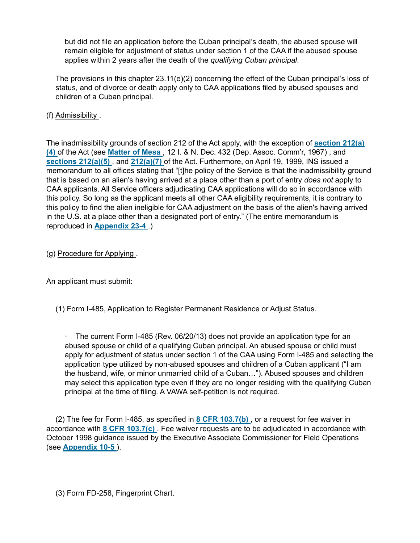but did not file an application before the Cuban principal's death, the abused spouse will remain eligible for adjustment of status under section 1 of the CAA if the abused spouse applies within 2 years after the death of the qualifying Cuban principal.

The provisions in this chapter 23.11(e)(2) concerning the effect of the Cuban principal's loss of status, and of divorce or death apply only to CAA applications filed by abused spouses and children of a Cuban principal.

# (f) Admissibility .

The inadmissibility grounds of section 212 of the Act apply, with the exception of **section 212(a)** (4) of the Act (see Matter of Mesa , 12 I. & N. Dec. 432 (Dep. Assoc. Comm'r, 1967) , and sections 212(a)(5), and 212(a)(7) of the Act. Furthermore, on April 19, 1999, INS issued a memorandum to all offices stating that "[t]he policy of the Service is that the inadmissibility ground that is based on an alien's having arrived at a place other than a port of entry does not apply to CAA applicants. All Service officers adjudicating CAA applications will do so in accordance with this policy. So long as the applicant meets all other CAA eligibility requirements, it is contrary to this policy to find the alien ineligible for CAA adjustment on the basis of the alien's having arrived in the U.S. at a place other than a designated port of entry." (The entire memorandum is reproduced in Appendix 23-4 .)

## (g) Procedure for Applying .

An applicant must submit:

(1) Form I-485, Application to Register Permanent Residence or Adjust Status.

The current Form I-485 (Rev. 06/20/13) does not provide an application type for an abused spouse or child of a qualifying Cuban principal. An abused spouse or child must apply for adjustment of status under section 1 of the CAA using Form I-485 and selecting the application type utilized by non-abused spouses and children of a Cuban applicant ("I am the husband, wife, or minor unmarried child of a Cuban…"). Abused spouses and children may select this application type even if they are no longer residing with the qualifying Cuban principal at the time of filing. A VAWA self-petition is not required.

(2) The fee for Form I-485, as specified in 8 CFR 103.7(b) , or a request for fee waiver in accordance with 8 CFR 103.7(c) . Fee waiver requests are to be adjudicated in accordance with October 1998 guidance issued by the Executive Associate Commissioner for Field Operations (see Appendix 10-5 ).

(3) Form FD-258, Fingerprint Chart.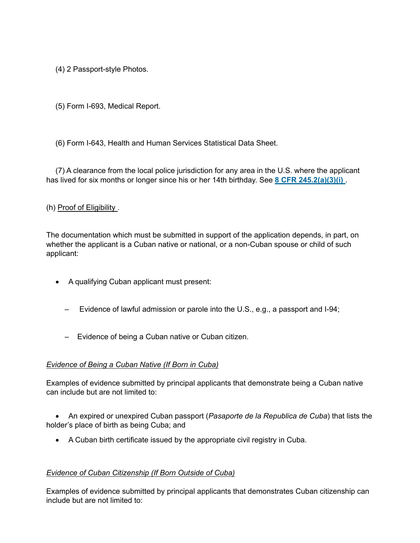(4) 2 Passport-style Photos.

(5) Form I-693, Medical Report.

(6) Form I-643, Health and Human Services Statistical Data Sheet.

(7) A clearance from the local police jurisdiction for any area in the U.S. where the applicant has lived for six months or longer since his or her 14th birthday. See 8 CFR 245.2(a)(3)(i).

## (h) Proof of Eligibility .

The documentation which must be submitted in support of the application depends, in part, on whether the applicant is a Cuban native or national, or a non-Cuban spouse or child of such applicant:

- · A qualifying Cuban applicant must present:
	- Evidence of lawful admission or parole into the U.S., e.g., a passport and I-94;
	- Evidence of being a Cuban native or Cuban citizen.

#### Evidence of Being a Cuban Native (If Born in Cuba)

Examples of evidence submitted by principal applicants that demonstrate being a Cuban native can include but are not limited to:

• An expired or unexpired Cuban passport (Pasaporte de la Republica de Cuba) that lists the holder's place of birth as being Cuba; and

· A Cuban birth certificate issued by the appropriate civil registry in Cuba.

#### Evidence of Cuban Citizenship (If Born Outside of Cuba)

Examples of evidence submitted by principal applicants that demonstrates Cuban citizenship can include but are not limited to: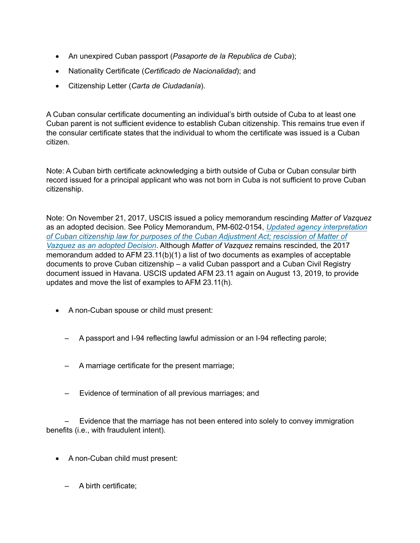- An unexpired Cuban passport (Pasaporte de la Republica de Cuba);
- · Nationality Certificate (Certificado de Nacionalidad); and
- · Citizenship Letter (Carta de Ciudadanía).

A Cuban consular certificate documenting an individual's birth outside of Cuba to at least one Cuban parent is not sufficient evidence to establish Cuban citizenship. This remains true even if the consular certificate states that the individual to whom the certificate was issued is a Cuban citizen.

Note: A Cuban birth certificate acknowledging a birth outside of Cuba or Cuban consular birth record issued for a principal applicant who was not born in Cuba is not sufficient to prove Cuban citizenship.

Note: On November 21, 2017, USCIS issued a policy memorandum rescinding Matter of Vazquez as an adopted decision. See Policy Memorandum, PM-602-0154, Updated agency interpretation of Cuban citizenship law for purposes of the Cuban Adjustment Act; rescission of Matter of Vazquez as an adopted Decision. Although Matter of Vazquez remains rescinded, the 2017 memorandum added to AFM 23.11(b)(1) a list of two documents as examples of acceptable documents to prove Cuban citizenship – a valid Cuban passport and a Cuban Civil Registry document issued in Havana. USCIS updated AFM 23.11 again on August 13, 2019, to provide updates and move the list of examples to AFM 23.11(h).

- · A non-Cuban spouse or child must present:
	- A passport and I-94 reflecting lawful admission or an I-94 reflecting parole;
	- A marriage certificate for the present marriage;
	- Evidence of termination of all previous marriages; and

– Evidence that the marriage has not been entered into solely to convey immigration benefits (i.e., with fraudulent intent).

- · A non-Cuban child must present:
	- A birth certificate;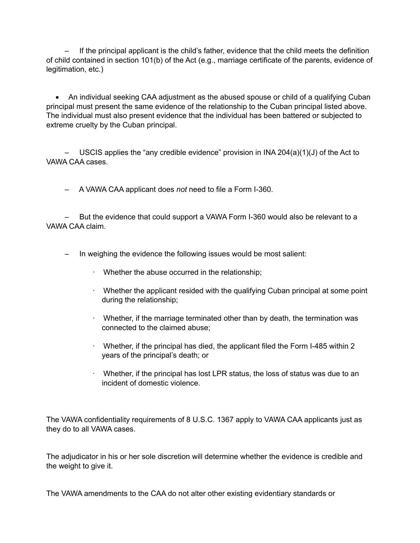– If the principal applicant is the child's father, evidence that the child meets the definition of child contained in section 101(b) of the Act (e.g., marriage certificate of the parents, evidence of legitimation, etc.)

· An individual seeking CAA adjustment as the abused spouse or child of a qualifying Cuban principal must present the same evidence of the relationship to the Cuban principal listed above. The individual must also present evidence that the individual has been battered or subjected to extreme cruelty by the Cuban principal.

– USCIS applies the "any credible evidence" provision in INA 204(a)(1)(J) of the Act to VAWA CAA cases.

– A VAWA CAA applicant does not need to file a Form I-360.

– But the evidence that could support a VAWA Form I-360 would also be relevant to a VAWA CAA claim.

- In weighing the evidence the following issues would be most salient:
	- · Whether the abuse occurred in the relationship;
	- · Whether the applicant resided with the qualifying Cuban principal at some point during the relationship;
	- · Whether, if the marriage terminated other than by death, the termination was connected to the claimed abuse;
	- · Whether, if the principal has died, the applicant filed the Form I-485 within 2 years of the principal's death; or
	- · Whether, if the principal has lost LPR status, the loss of status was due to an incident of domestic violence.

The VAWA confidentiality requirements of 8 U.S.C. 1367 apply to VAWA CAA applicants just as they do to all VAWA cases.

The adjudicator in his or her sole discretion will determine whether the evidence is credible and the weight to give it.

The VAWA amendments to the CAA do not alter other existing evidentiary standards or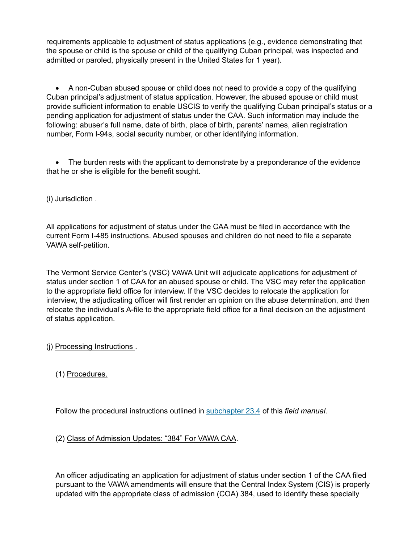requirements applicable to adjustment of status applications (e.g., evidence demonstrating that the spouse or child is the spouse or child of the qualifying Cuban principal, was inspected and admitted or paroled, physically present in the United States for 1 year).

· A non-Cuban abused spouse or child does not need to provide a copy of the qualifying Cuban principal's adjustment of status application. However, the abused spouse or child must provide sufficient information to enable USCIS to verify the qualifying Cuban principal's status or a pending application for adjustment of status under the CAA. Such information may include the following: abuser's full name, date of birth, place of birth, parents' names, alien registration number, Form I-94s, social security number, or other identifying information.

• The burden rests with the applicant to demonstrate by a preponderance of the evidence that he or she is eligible for the benefit sought.

(i) Jurisdiction .

All applications for adjustment of status under the CAA must be filed in accordance with the current Form I-485 instructions. Abused spouses and children do not need to file a separate VAWA self-petition.

The Vermont Service Center's (VSC) VAWA Unit will adjudicate applications for adjustment of status under section 1 of CAA for an abused spouse or child. The VSC may refer the application to the appropriate field office for interview. If the VSC decides to relocate the application for interview, the adjudicating officer will first render an opinion on the abuse determination, and then relocate the individual's A-file to the appropriate field office for a final decision on the adjustment of status application.

(j) Processing Instructions .

(1) Procedures.

Follow the procedural instructions outlined in subchapter 23.4 of this field manual.

#### (2) Class of Admission Updates: "384" For VAWA CAA.

An officer adjudicating an application for adjustment of status under section 1 of the CAA filed pursuant to the VAWA amendments will ensure that the Central Index System (CIS) is properly updated with the appropriate class of admission (COA) 384, used to identify these specially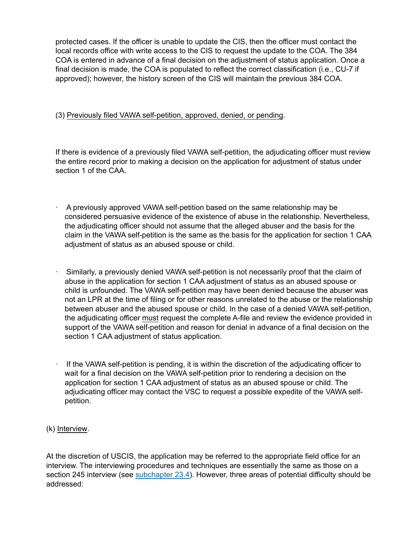protected cases. If the officer is unable to update the CIS, then the officer must contact the local records office with write access to the CIS to request the update to the COA. The 384 COA is entered in advance of a final decision on the adjustment of status application. Once a final decision is made, the COA is populated to reflect the correct classification (i.e., CU-7 if approved); however, the history screen of the CIS will maintain the previous 384 COA.

#### (3) Previously filed VAWA self-petition, approved, denied, or pending.

If there is evidence of a previously filed VAWA self-petition, the adjudicating officer must review the entire record prior to making a decision on the application for adjustment of status under section 1 of the CAA.

- · A previously approved VAWA self-petition based on the same relationship may be considered persuasive evidence of the existence of abuse in the relationship. Nevertheless, the adjudicating officer should not assume that the alleged abuser and the basis for the claim in the VAWA self-petition is the same as the basis for the application for section 1 CAA adjustment of status as an abused spouse or child.
- Similarly, a previously denied VAWA self-petition is not necessarily proof that the claim of abuse in the application for section 1 CAA adjustment of status as an abused spouse or child is unfounded. The VAWA self-petition may have been denied because the abuser was not an LPR at the time of filing or for other reasons unrelated to the abuse or the relationship between abuser and the abused spouse or child. In the case of a denied VAWA self-petition, the adjudicating officer must request the complete A-file and review the evidence provided in support of the VAWA self-petition and reason for denial in advance of a final decision on the section 1 CAA adjustment of status application.
- · If the VAWA self-petition is pending, it is within the discretion of the adjudicating officer to wait for a final decision on the VAWA self-petition prior to rendering a decision on the application for section 1 CAA adjustment of status as an abused spouse or child. The adjudicating officer may contact the VSC to request a possible expedite of the VAWA selfpetition.

#### (k) Interview.

At the discretion of USCIS, the application may be referred to the appropriate field office for an interview. The interviewing procedures and techniques are essentially the same as those on a section 245 interview (see subchapter 23.4). However, three areas of potential difficulty should be addressed: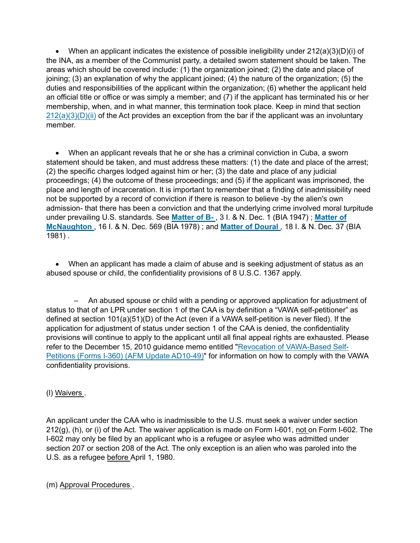• When an applicant indicates the existence of possible ineligibility under  $212(a)(3)(D)(i)$  of the INA, as a member of the Communist party, a detailed sworn statement should be taken. The areas which should be covered include: (1) the organization joined; (2) the date and place of joining; (3) an explanation of why the applicant joined; (4) the nature of the organization; (5) the duties and responsibilities of the applicant within the organization; (6) whether the applicant held an official title or office or was simply a member; and (7) if the applicant has terminated his or her membership, when, and in what manner, this termination took place. Keep in mind that section  $212(a)(3)(D)(ii)$  of the Act provides an exception from the bar if the applicant was an involuntary member.

· When an applicant reveals that he or she has a criminal conviction in Cuba, a sworn statement should be taken, and must address these matters: (1) the date and place of the arrest; (2) the specific charges lodged against him or her; (3) the date and place of any judicial proceedings; (4) the outcome of these proceedings; and (5) if the applicant was imprisoned, the place and length of incarceration. It is important to remember that a finding of inadmissibility need not be supported by a record of conviction if there is reason to believe -by the alien's own admission- that there has been a conviction and that the underlying crime involved moral turpitude under prevailing U.S. standards. See Matter of B-, 3 I. & N. Dec. 1 (BIA 1947); Matter of McNaughton , 16 I. & N. Dec. 569 (BIA 1978) ; and Matter of Doural , 18 I. & N. Dec. 37 (BIA 1981) .

· When an applicant has made a claim of abuse and is seeking adjustment of status as an abused spouse or child, the confidentiality provisions of 8 U.S.C. 1367 apply.

– An abused spouse or child with a pending or approved application for adjustment of status to that of an LPR under section 1 of the CAA is by definition a "VAWA self-petitioner" as defined at section 101(a)(51)(D) of the Act (even if a VAWA self-petition is never filed). If the application for adjustment of status under section 1 of the CAA is denied, the confidentiality provisions will continue to apply to the applicant until all final appeal rights are exhausted. Please refer to the December 15, 2010 guidance memo entitled "Revocation of VAWA-Based Self-Petitions (Forms I-360) (AFM Update AD10-49)" for information on how to comply with the VAWA confidentiality provisions.

# (l) Waivers .

An applicant under the CAA who is inadmissible to the U.S. must seek a waiver under section 212(g), (h), or (i) of the Act. The waiver application is made on Form I-601, not on Form I-602. The I-602 may only be filed by an applicant who is a refugee or asylee who was admitted under section 207 or section 208 of the Act. The only exception is an alien who was paroled into the U.S. as a refugee before April 1, 1980.

(m) Approval Procedures .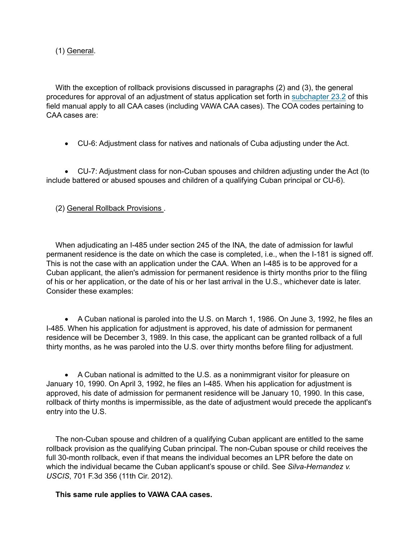(1) General.

With the exception of rollback provisions discussed in paragraphs (2) and (3), the general procedures for approval of an adjustment of status application set forth in subchapter 23.2 of this field manual apply to all CAA cases (including VAWA CAA cases). The COA codes pertaining to CAA cases are:

· CU-6: Adjustment class for natives and nationals of Cuba adjusting under the Act.

· CU-7: Adjustment class for non-Cuban spouses and children adjusting under the Act (to include battered or abused spouses and children of a qualifying Cuban principal or CU-6).

(2) General Rollback Provisions .

When adjudicating an I-485 under section 245 of the INA, the date of admission for lawful permanent residence is the date on which the case is completed, i.e., when the I-181 is signed off. This is not the case with an application under the CAA. When an I-485 is to be approved for a Cuban applicant, the alien's admission for permanent residence is thirty months prior to the filing of his or her application, or the date of his or her last arrival in the U.S., whichever date is later. Consider these examples:

· A Cuban national is paroled into the U.S. on March 1, 1986. On June 3, 1992, he files an I-485. When his application for adjustment is approved, his date of admission for permanent residence will be December 3, 1989. In this case, the applicant can be granted rollback of a full thirty months, as he was paroled into the U.S. over thirty months before filing for adjustment.

· A Cuban national is admitted to the U.S. as a nonimmigrant visitor for pleasure on January 10, 1990. On April 3, 1992, he files an I-485. When his application for adjustment is approved, his date of admission for permanent residence will be January 10, 1990. In this case, rollback of thirty months is impermissible, as the date of adjustment would precede the applicant's entry into the U.S.

The non-Cuban spouse and children of a qualifying Cuban applicant are entitled to the same rollback provision as the qualifying Cuban principal. The non-Cuban spouse or child receives the full 30-month rollback, even if that means the individual becomes an LPR before the date on which the individual became the Cuban applicant's spouse or child. See Silva-Hernandez v. USCIS, 701 F.3d 356 (11th Cir. 2012).

This same rule applies to VAWA CAA cases.